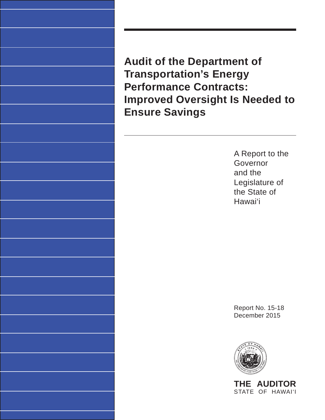**Audit of the Department of Transportation's Energy Performance Contracts: Improved Oversight Is Needed to Ensure Savings**

> A Report to the Governor and the Legislature of the State of Hawai'i

Report No. 15-18 December 2015



**THE AUDITOR** STATE OF HAWAI'I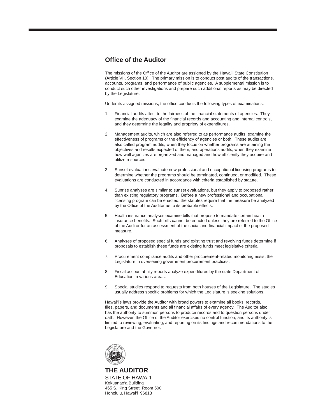#### **Offi ce of the Auditor**

The missions of the Office of the Auditor are assigned by the Hawai'i State Constitution (Article VII, Section 10). The primary mission is to conduct post audits of the transactions, accounts, programs, and performance of public agencies. A supplemental mission is to conduct such other investigations and prepare such additional reports as may be directed by the Legislature.

Under its assigned missions, the office conducts the following types of examinations:

- 1. Financial audits attest to the fairness of the financial statements of agencies. They examine the adequacy of the financial records and accounting and internal controls, and they determine the legality and propriety of expenditures.
- 2. Management audits, which are also referred to as performance audits, examine the effectiveness of programs or the efficiency of agencies or both. These audits are also called program audits, when they focus on whether programs are attaining the objectives and results expected of them, and operations audits, when they examine how well agencies are organized and managed and how efficiently they acquire and utilize resources.
- 3. Sunset evaluations evaluate new professional and occupational licensing programs to determine whether the programs should be terminated, continued, or modified. These evaluations are conducted in accordance with criteria established by statute.
- 4. Sunrise analyses are similar to sunset evaluations, but they apply to proposed rather than existing regulatory programs. Before a new professional and occupational licensing program can be enacted, the statutes require that the measure be analyzed by the Office of the Auditor as to its probable effects.
- 5. Health insurance analyses examine bills that propose to mandate certain health insurance benefits. Such bills cannot be enacted unless they are referred to the Office of the Auditor for an assessment of the social and financial impact of the proposed measure.
- 6. Analyses of proposed special funds and existing trust and revolving funds determine if proposals to establish these funds are existing funds meet legislative criteria.
- 7. Procurement compliance audits and other procurement-related monitoring assist the Legislature in overseeing government procurement practices.
- 8. Fiscal accountability reports analyze expenditures by the state Department of Education in various areas.
- 9. Special studies respond to requests from both houses of the Legislature. The studies usually address specific problems for which the Legislature is seeking solutions.

Hawai'i's laws provide the Auditor with broad powers to examine all books, records, files, papers, and documents and all financial affairs of every agency. The Auditor also has the authority to summon persons to produce records and to question persons under oath. However, the Office of the Auditor exercises no control function, and its authority is limited to reviewing, evaluating, and reporting on its findings and recommendations to the Legislature and the Governor.



**THE AUDITOR** STATE OF HAWAI'I Kekuanao'a Building 465 S. King Street, Room 500 Honolulu, Hawai'i 96813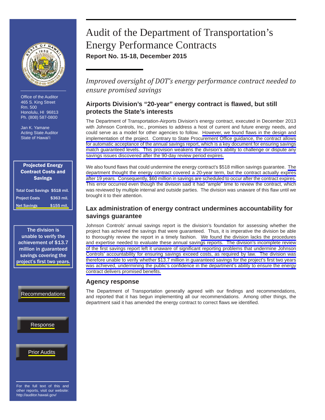

Office of the Auditor 465 S. King Street Rm. 500 Honolulu, HI 96813 Ph. (808) 587-0800

Jan K. Yamane Acting State Auditor State of Hawai'i

#### Projected Energy [Contract Costs and](#page-14-0)  Savings

Total Cost Savings \$518 mil. Project Costs \$363 mil. Net Savings \$155 mil.

The division is unable to verify the achievement of \$13.7 million in guaranteed savings covering the project's first two years.

[Recommendations](#page-32-0)

[Response](#page-35-0)

[Prior Audits](#page-14-0)

For the full text of this and other reports, visit our website: http://auditor.hawaii.gov/

# Audit of the Department of Transportation's Energy Performance Contracts **Report No. 15-18, December 2015**

*Improved oversight of DOT's energy performance contract needed to ensure promised savings*

#### **Airports Division's "20-year" energy contract is fl awed, but still protects the State's interests**

The Department of Transportation-Airports Division's energy contract, executed in December 2013 with Johnson Controls, Inc., promises to address a host of current and future energy needs, and could serve as a model for other agencies to follow. However, we found flaws in the design and [implementation of the project. Contrary to State Procurement Of](#page-21-0)fice guidance, the contract allows [for automatic acceptance of the annual savings report, which is a key document for ensuring savings](#page-21-0)  [match guaranteed levels. This provision weakens the division's ability to challenge or dispute any](#page-21-0)  [savings issues discovered after the 90-day review period expires.](#page-21-0)

We also found flaws that could undermine the energy contract's \$518 million savings guarantee. The [department thought the energy contract covered a 20-year term, but the contract actually expires](#page-18-0)  [after 19 years. Consequently, \\$60 million in savings are scheduled to occur after the contract expires.](#page-18-0)  This error occurred even though the division said it had "ample" time to review the contract, which was reviewed by multiple internal and outside parties. The division was unaware of this flaw until we brought it to their attention.

#### **Lax administration of energy contract undermines accountability for savings guarantee**

Johnson Controls' annual savings report is the division's foundation for assessing whether the project has achieved the savings that were guaranteed. Thus, it is imperative the division be able to thoroughly review the report in a timely fashion. [We found the division lacks the procedures](#page-24-0)  [and expertise needed to evaluate these annual savings reports. The division's incomplete review](#page-24-0)  of the first savings report left it unaware of significant reporting problems that undermine Johnson [Controls' accountability for ensuring savings exceed costs, as required by law. The division was](#page-24-0)  [therefore unable to verify whether \\$13.7 million in guaranteed savings for the project's](#page-24-0) first two years was achieved, undermining the public's confidence in the department's ability to ensure the energy [contract delivers promised bene](#page-24-0)fits.

#### **Agency response**

The Department of Transportation generally agreed with our findings and recommendations, and reported that it has begun implementing all our recommendations. Among other things, the department said it has amended the energy contract to correct flaws we identified.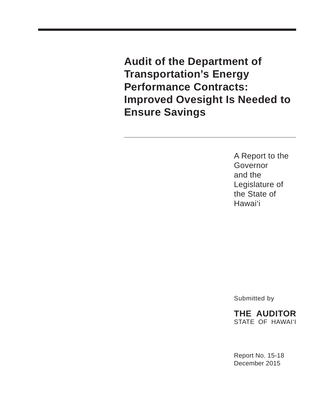**Audit of the Department of Transportation's Energy Performance Contracts: Improved Ovesight Is Needed to Ensure Savings**

> A Report to the Governor and the Legislature of the State of Hawai'i

Submitted by

**THE AUDITOR** STATE OF HAWAI'I

Report No. 15-18 December 2015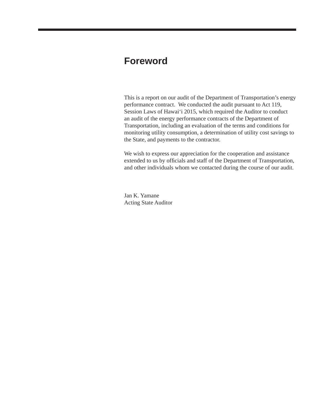# **Foreword**

This is a report on our audit of the Department of Transportation's energy performance contract. We conducted the audit pursuant to Act 119, Session Laws of Hawai'i 2015, which required the Auditor to conduct an audit of the energy performance contracts of the Department of Transportation, including an evaluation of the terms and conditions for monitoring utility consumption, a determination of utility cost savings to the State, and payments to the contractor.

We wish to express our appreciation for the cooperation and assistance extended to us by officials and staff of the Department of Transportation, and other individuals whom we contacted during the course of our audit.

Jan K. Yamane Acting State Auditor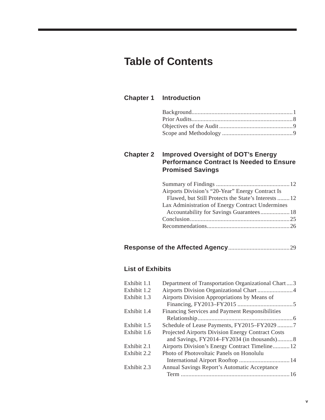# **Table of Contents**

| <b>Chapter 1</b> | <b>Introduction</b> |
|------------------|---------------------|
|------------------|---------------------|

### **Chapter 2 Improved Oversight of DOT's Energy Performance Contract Is Needed to Ensure Promised Savings**

| Airports Division's "20-Year" Energy Contract Is    |  |
|-----------------------------------------------------|--|
| Flawed, but Still Protects the State's Interests 12 |  |
| Lax Administration of Energy Contract Undermines    |  |
| Accountability for Savings Guarantees 18            |  |
|                                                     |  |
|                                                     |  |
|                                                     |  |

|--|--|--|

### **List of Exhibits**

| Exhibit 1.1 | Department of Transportation Organizational Chart3 |  |
|-------------|----------------------------------------------------|--|
| Exhibit 1.2 |                                                    |  |
| Exhibit 1.3 | Airports Division Appropriations by Means of       |  |
|             |                                                    |  |
| Exhibit 1.4 | Financing Services and Payment Responsibilities    |  |
|             |                                                    |  |
| Exhibit 1.5 | Schedule of Lease Payments, FY2015-FY20297         |  |
| Exhibit 1.6 | Projected Airports Division Energy Contract Costs  |  |
|             | and Savings, FY2014–FY2034 (in thousands)8         |  |
| Exhibit 2.1 | Airports Division's Energy Contract Timeline12     |  |
| Exhibit 2.2 | Photo of Photovoltaic Panels on Honolulu           |  |
|             |                                                    |  |
| Exhibit 2.3 | Annual Savings Report's Automatic Acceptance       |  |
|             | Term                                               |  |
|             |                                                    |  |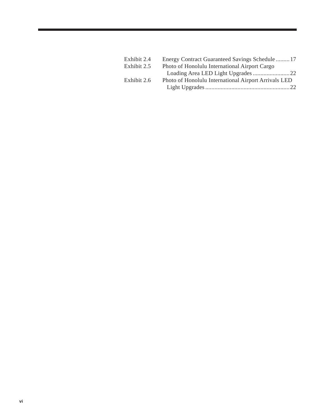| Exhibit 2.4 | Energy Contract Guaranteed Savings Schedule17        |
|-------------|------------------------------------------------------|
| Exhibit 2.5 | Photo of Honolulu International Airport Cargo        |
|             |                                                      |
| Exhibit 2.6 | Photo of Honolulu International Airport Arrivals LED |
|             |                                                      |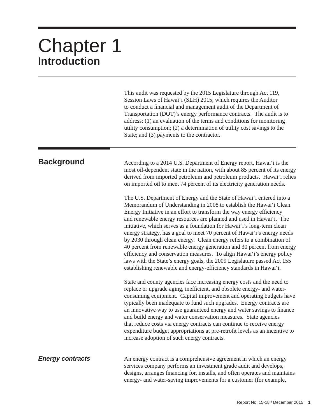# Chapter 1 **Introduction**

This audit was requested by the 2015 Legislature through Act 119, Session Laws of Hawai'i (SLH) 2015, which requires the Auditor to conduct a financial and management audit of the Department of Transportation (DOT)'s energy performance contracts. The audit is to address: (1) an evaluation of the terms and conditions for monitoring utility consumption; (2) a determination of utility cost savings to the State; and (3) payments to the contractor.

# **Background**

According to a 2014 U.S. Department of Energy report, Hawai'i is the most oil-dependent state in the nation, with about 85 percent of its energy derived from imported petroleum and petroleum products. Hawai'i relies on imported oil to meet 74 percent of its electricity generation needs.

The U.S. Department of Energy and the State of Hawai'i entered into a Memorandum of Understanding in 2008 to establish the Hawai'i Clean Energy Initiative in an effort to transform the way energy efficiency and renewable energy resources are planned and used in Hawai'i. The initiative, which serves as a foundation for Hawai'i's long-term clean energy strategy, has a goal to meet 70 percent of Hawai'i's energy needs by 2030 through clean energy. Clean energy refers to a combination of 40 percent from renewable energy generation and 30 percent from energy efficiency and conservation measures. To align Hawai'i's energy policy laws with the State's energy goals, the 2009 Legislature passed Act 155 establishing renewable and energy-efficiency standards in Hawai'i.

State and county agencies face increasing energy costs and the need to replace or upgrade aging, inefficient, and obsolete energy- and waterconsuming equipment. Capital improvement and operating budgets have typically been inadequate to fund such upgrades. Energy contracts are an innovative way to use guaranteed energy and water savings to finance and build energy and water conservation measures. State agencies that reduce costs via energy contracts can continue to receive energy expenditure budget appropriations at pre-retrofit levels as an incentive to increase adoption of such energy contracts.

An energy contract is a comprehensive agreement in which an energy services company performs an investment grade audit and develops, designs, arranges financing for, installs, and often operates and maintains energy- and water-saving improvements for a customer (for example, *Energy contracts*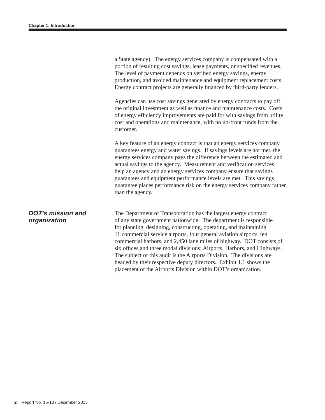a State agency). The energy services company is compensated with a portion of resulting cost savings, lease payments, or specified revenues. The level of payment depends on verified energy savings, energy production, and avoided maintenance and equipment replacement costs. Energy contract projects are generally financed by third-party lenders.

Agencies can use cost savings generated by energy contracts to pay off the original investment as well as finance and maintenance costs. Costs of energy efficiency improvements are paid for with savings from utility cost and operations and maintenance, with no up-front funds from the customer.

A key feature of an energy contract is that an energy services company guarantees energy and water savings. If savings levels are not met, the energy services company pays the difference between the estimated and actual savings to the agency. Measurement and verification services help an agency and an energy services company ensure that savings guarantees and equipment performance levels are met. This savings guarantee places performance risk on the energy services company rather than the agency.

The Department of Transportation has the largest energy contract of any state government nationwide. The department is responsible for planning, designing, constructing, operating, and maintaining 11 commercial service airports, four general aviation airports, ten commercial harbors, and 2,450 lane miles of highway. DOT consists of six offices and three modal divisions: Airports, Harbors, and Highways. The subject of this audit is the Airports Division. The divisions are headed by their respective deputy directors. Exhibit 1.1 shows the placement of the Airports Division within DOT's organization. *DOT's mission and organization*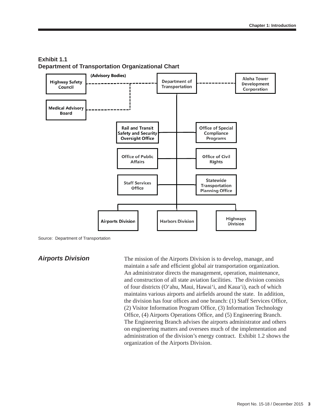

#### **Exhibit 1.1 Department of Transportation Organizational Chart**

Source: Department of Transportation

#### *Airports Division*

The mission of the Airports Division is to develop, manage, and maintain a safe and efficient global air transportation organization. An administrator directs the management, operation, maintenance, and construction of all state aviation facilities. The division consists of four districts (O'ahu, Maui, Hawai'i, and Kaua'i), each of which maintains various airports and airfields around the state. In addition, the division has four offices and one branch: (1) Staff Services Office,  $(2)$  Visitor Information Program Office,  $(3)$  Information Technology Office, (4) Airports Operations Office, and (5) Engineering Branch. The Engineering Branch advises the airports administrator and others on engineering matters and oversees much of the implementation and administration of the division's energy contract. Exhibit 1.2 shows the organization of the Airports Division.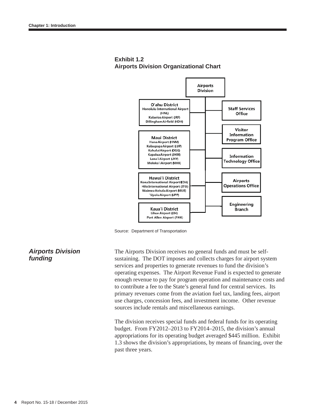

 **Exhibit 1.2 Airports Division Organizational Chart**

Source: Department of Transportation

#### *Airports Division funding*

The Airports Division receives no general funds and must be selfsustaining. The DOT imposes and collects charges for airport system services and properties to generate revenues to fund the division's operating expenses. The Airport Revenue Fund is expected to generate enough revenue to pay for program operation and maintenance costs and to contribute a fee to the State's general fund for central services. Its primary revenues come from the aviation fuel tax, landing fees, airport use charges, concession fees, and investment income. Other revenue sources include rentals and miscellaneous earnings.

The division receives special funds and federal funds for its operating budget. From FY2012–2013 to FY2014–2015, the division's annual appropriations for its operating budget averaged \$445 million. Exhibit 1.3 shows the division's appropriations, by means of financing, over the past three years.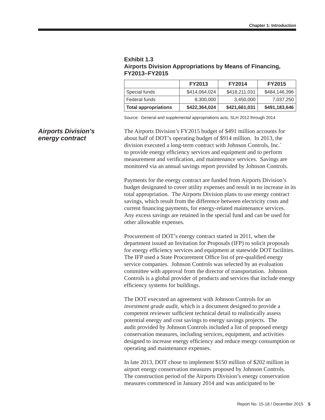| Exhibit 1.3                                             |
|---------------------------------------------------------|
| Airports Division Appropriations by Means of Financing, |
| FY2013-FY2015                                           |

|                             | <b>FY2013</b> | <b>FY2014</b> | <b>FY2015</b> |
|-----------------------------|---------------|---------------|---------------|
| Special funds               | \$414,064,024 | \$418,211,031 | \$484,146,396 |
| Federal funds               | 8,300,000     | 3,450,000     | 7,037,250     |
| <b>Total appropriations</b> | \$422,364,024 | \$421,661,031 | \$491,183,646 |

Source: General and supplemental appropriations acts, SLH 2012 through 2014

#### *Airports Division's energy contract*

The Airports Division's FY2015 budget of \$491 million accounts for about half of DOT's operating budget of \$914 million. In 2013, the division executed a long-term contract with Johnson Controls, Inc.` to provide energy efficiency services and equipment and to perform measurement and verification, and maintenance services. Savings are monitored via an annual savings report provided by Johnson Controls.

Payments for the energy contract are funded from Airports Division's budget designated to cover utility expenses and result in no increase in its total appropriation. The Airports Division plans to use energy contract savings, which result from the difference between electricity costs and current financing payments, for energy-related maintenance services. Any excess savings are retained in the special fund and can be used for other allowable expenses.

Procurement of DOT's energy contract started in 2011, when the department issued an Invitation for Proposals (IFP) to solicit proposals for energy efficiency services and equipment at statewide DOT facilities. The IFP used a State Procurement Office list of pre-qualified energy service companies. Johnson Controls was selected by an evaluation committee with approval from the director of transportation. Johnson Controls is a global provider of products and services that include energy efficiency systems for buildings.

The DOT executed an agreement with Johnson Controls for an *investment grade audit*, which is a document designed to provide a competent reviewer sufficient technical detail to realistically assess potential energy and cost savings to energy savings projects. The audit provided by Johnson Controls included a list of proposed energy conservation measures, including services, equipment, and activities designed to increase energy efficiency and reduce energy consumption or operating and maintenance expenses.

In late 2013, DOT chose to implement \$150 million of \$202 million in airport energy conservation measures proposed by Johnson Controls. The construction period of the Airports Division's energy conservation measures commenced in January 2014 and was anticipated to be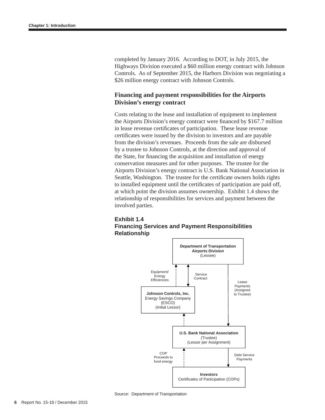completed by January 2016. According to DOT, in July 2015, the Highways Division executed a \$60 million energy contract with Johnson Controls. As of September 2015, the Harbors Division was negotiating a \$26 million energy contract with Johnson Controls.

#### **Financing and payment responsibilities for the Airports Division's energy contract**

Costs relating to the lease and installation of equipment to implement the Airports Division's energy contract were financed by  $$167.7$  million in lease revenue certificates of participation. These lease revenue certificates were issued by the division to investors and are payable from the division's revenues. Proceeds from the sale are disbursed by a trustee to Johnson Controls, at the direction and approval of the State, for financing the acquisition and installation of energy conservation measures and for other purposes. The trustee for the Airports Division's energy contract is U.S. Bank National Association in Seattle, Washington. The trustee for the certificate owners holds rights to installed equipment until the certificates of participation are paid off, at which point the division assumes ownership. Exhibit 1.4 shows the relationship of responsibilities for services and payment between the involved parties.

#### **Exhibit 1.4 Financing Services and Payment Responsibilities Relationship**



Source: Department of Transportation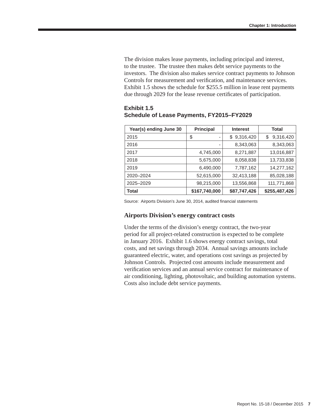The division makes lease payments, including principal and interest, to the trustee. The trustee then makes debt service payments to the investors. The division also makes service contract payments to Johnson Controls for measurement and verification, and maintenance services. Exhibit 1.5 shows the schedule for \$255.5 million in lease rent payments due through 2029 for the lease revenue certificates of participation.

| Year(s) ending June 30 | <b>Principal</b> | <b>Interest</b> | Total           |
|------------------------|------------------|-----------------|-----------------|
| 2015                   | \$<br>-          | 9,316,420<br>\$ | 9,316,420<br>\$ |
| 2016                   | -                | 8,343,063       | 8,343,063       |
| 2017                   | 4,745,000        | 8,271,887       | 13,016,887      |
| 2018                   | 5,675,000        | 8,058,838       | 13,733,838      |
| 2019                   | 6,490,000        | 7,787,162       | 14,277,162      |
| 2020-2024              | 52,615,000       | 32,413,188      | 85,028,188      |
| 2025-2029              | 98,215,000       | 13,556,868      | 111,771,868     |
| Total                  | \$167,740,000    | \$87,747,426    | \$255,487,426   |

#### **Exhibit 1.5 Schedule of Lease Payments, FY2015–FY2029**

Source: Airports Division's June 30, 2014, audited financial statements

#### **Airports Division's energy contract costs**

Under the terms of the division's energy contract, the two-year period for all project-related construction is expected to be complete in January 2016. Exhibit 1.6 shows energy contract savings, total costs, and net savings through 2034. Annual savings amounts include guaranteed electric, water, and operations cost savings as projected by Johnson Controls. Projected cost amounts include measurement and verification services and an annual service contract for maintenance of air conditioning, lighting, photovoltaic, and building automation systems. Costs also include debt service payments.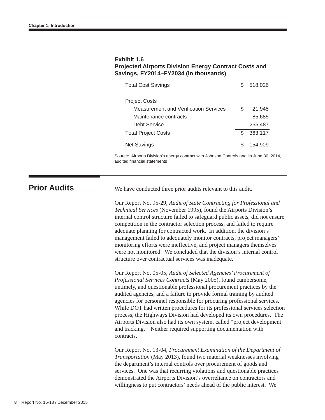#### <span id="page-14-0"></span> **Exhibit 1.6 Projected Airports Division Energy Contract Costs and Savings, FY2014–FY2034 (in thousands)**

| <b>Total Cost Savings</b>                    | S.  | 518,026 |
|----------------------------------------------|-----|---------|
| <b>Project Costs</b>                         |     |         |
| <b>Measurement and Verification Services</b> | S   | 21,945  |
| Maintenance contracts                        |     | 85,685  |
| Debt Service                                 |     | 255,487 |
| <b>Total Project Costs</b>                   | \$. | 363,117 |
| Net Savings                                  | \$. | 154.909 |

 Source: Airports Division's energy contract with Johnson Controls and its June 30, 2014, audited financial statements

# **Prior Audits**

We have conducted three prior audits relevant to this audit.

Our Report No. 95-29, *Audit of State Contracting for Professional and Technical Services* (November 1995), found the Airports Division's internal control structure failed to safeguard public assets, did not ensure competition in the contractor selection process, and failed to require adequate planning for contracted work. In addition, the division's management failed to adequately monitor contracts, project managers' monitoring efforts were ineffective, and project managers themselves were not monitored. We concluded that the division's internal control structure over contractual services was inadequate.

Our Report No. 05-05, *Audit of Selected Agencies' Procurement of Professional Services Contracts* (May 2005), found cumbersome, untimely, and questionable professional procurement practices by the audited agencies, and a failure to provide formal training by audited agencies for personnel responsible for procuring professional services. While DOT had written procedures for its professional services selection process, the Highways Division had developed its own procedures. The Airports Division also had its own system, called "project development and tracking." Neither required supporting documentation with contracts.

Our Report No. 13-04, *Procurement Examination of the Department of Transportation* (May 2013), found two material weaknesses involving the department's internal controls over procurement of goods and services. One was that recurring violations and questionable practices demonstrated the Airports Division's overreliance on contractors and willingness to put contractors' needs ahead of the public interest. We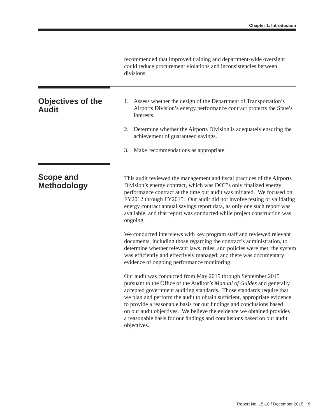|                                        | recommended that improved training and department-wide oversight<br>could reduce procurement violations and inconsistencies between<br>divisions.                                                                                                                                                                                                                                                                                                                                                                                    |  |  |
|----------------------------------------|--------------------------------------------------------------------------------------------------------------------------------------------------------------------------------------------------------------------------------------------------------------------------------------------------------------------------------------------------------------------------------------------------------------------------------------------------------------------------------------------------------------------------------------|--|--|
| Objectives of the<br><b>Audit</b>      | 1. Assess whether the design of the Department of Transportation's<br>Airports Division's energy performance contract protects the State's<br>interests.                                                                                                                                                                                                                                                                                                                                                                             |  |  |
|                                        | 2. Determine whether the Airports Division is adequately ensuring the<br>achievement of guaranteed savings.                                                                                                                                                                                                                                                                                                                                                                                                                          |  |  |
|                                        | Make recommendations as appropriate.<br>3.                                                                                                                                                                                                                                                                                                                                                                                                                                                                                           |  |  |
| <b>Scope and</b><br><b>Methodology</b> | This audit reviewed the management and fiscal practices of the Airports<br>Division's energy contract, which was DOT's only finalized energy<br>performance contract at the time our audit was initiated. We focused on<br>FY2012 through FY2015. Our audit did not involve testing or validating<br>energy contract annual savings report data, as only one such report was<br>available, and that report was conducted while project construction was<br>ongoing.                                                                  |  |  |
|                                        | We conducted interviews with key program staff and reviewed relevant<br>documents, including those regarding the contract's administration, to<br>determine whether relevant laws, rules, and policies were met; the system<br>was efficiently and effectively managed; and there was documentary<br>evidence of ongoing performance monitoring.                                                                                                                                                                                     |  |  |
|                                        | Our audit was conducted from May 2015 through September 2015<br>pursuant to the Office of the Auditor's Manual of Guides and generally<br>accepted government auditing standards. Those standards require that<br>we plan and perform the audit to obtain sufficient, appropriate evidence<br>to provide a reasonable basis for our findings and conclusions based<br>on our audit objectives. We believe the evidence we obtained provides<br>a reasonable basis for our findings and conclusions based on our audit<br>objectives. |  |  |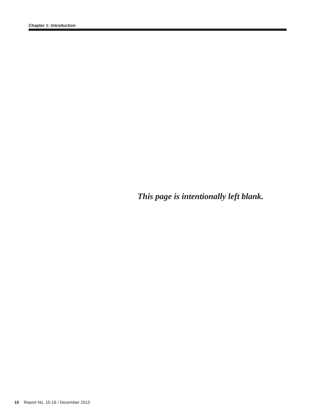*This page is intentionally left blank.*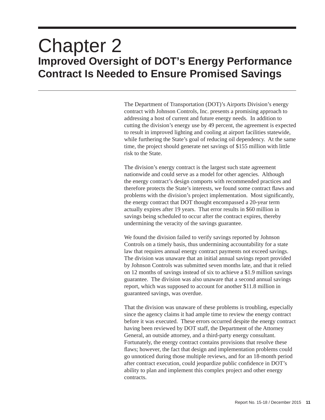# Chapter 2 **Improved Oversight of DOT's Energy Performance Contract Is Needed to Ensure Promised Savings**

The Department of Transportation (DOT)'s Airports Division's energy contract with Johnson Controls, Inc. presents a promising approach to addressing a host of current and future energy needs. In addition to cutting the division's energy use by 49 percent, the agreement is expected to result in improved lighting and cooling at airport facilities statewide, while furthering the State's goal of reducing oil dependency. At the same time, the project should generate net savings of \$155 million with little risk to the State.

The division's energy contract is the largest such state agreement nationwide and could serve as a model for other agencies. Although the energy contract's design comports with recommended practices and therefore protects the State's interests, we found some contract flaws and problems with the division's project implementation. Most significantly, the energy contract that DOT thought encompassed a 20-year term actually expires after 19 years. That error results in \$60 million in savings being scheduled to occur after the contract expires, thereby undermining the veracity of the savings guarantee.

We found the division failed to verify savings reported by Johnson Controls on a timely basis, thus undermining accountability for a state law that requires annual energy contract payments not exceed savings. The division was unaware that an initial annual savings report provided by Johnson Controls was submitted seven months late, and that it relied on 12 months of savings instead of six to achieve a \$1.9 million savings guarantee. The division was also unaware that a second annual savings report, which was supposed to account for another \$11.8 million in guaranteed savings, was overdue.

That the division was unaware of these problems is troubling, especially since the agency claims it had ample time to review the energy contract before it was executed. These errors occurred despite the energy contract having been reviewed by DOT staff, the Department of the Attorney General, an outside attorney, and a third-party energy consultant. Fortunately, the energy contract contains provisions that resolve these flaws; however, the fact that design and implementation problems could go unnoticed during those multiple reviews, and for an 18-month period after contract execution, could jeopardize public confidence in DOT's ability to plan and implement this complex project and other energy contracts.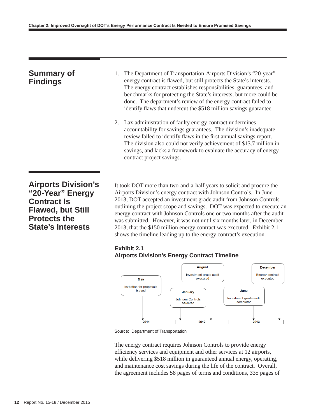<span id="page-18-0"></span>

| <b>Summary of</b><br><b>Findings</b>                                                                                                                | 1. | The Department of Transportation-Airports Division's "20-year"<br>energy contract is flawed, but still protects the State's interests.<br>The energy contract establishes responsibilities, guarantees, and<br>benchmarks for protecting the State's interests, but more could be<br>done. The department's review of the energy contract failed to<br>identify flaws that undercut the \$518 million savings guarantee.                                                                                                                                                                         |
|-----------------------------------------------------------------------------------------------------------------------------------------------------|----|--------------------------------------------------------------------------------------------------------------------------------------------------------------------------------------------------------------------------------------------------------------------------------------------------------------------------------------------------------------------------------------------------------------------------------------------------------------------------------------------------------------------------------------------------------------------------------------------------|
|                                                                                                                                                     |    | 2. Lax administration of faulty energy contract undermines<br>accountability for savings guarantees. The division's inadequate<br>review failed to identify flaws in the first annual savings report.<br>The division also could not verify achievement of \$13.7 million in<br>savings, and lacks a framework to evaluate the accuracy of energy<br>contract project savings.                                                                                                                                                                                                                   |
| <b>Airports Division's</b><br>"20-Year" Energy<br><b>Contract Is</b><br><b>Flawed, but Still</b><br><b>Protects the</b><br><b>State's Interests</b> |    | It took DOT more than two-and-a-half years to solicit and procure the<br>Airports Division's energy contract with Johnson Controls. In June<br>2013, DOT accepted an investment grade audit from Johnson Controls<br>outlining the project scope and savings. DOT was expected to execute an<br>energy contract with Johnson Controls one or two months after the audit<br>was submitted. However, it was not until six months later, in December<br>2013, that the \$150 million energy contract was executed. Exhibit 2.1<br>shows the timeline leading up to the energy contract's execution. |

#### **Exhibit 2.1 Airports Division's Energy Contract Timeline**



Source: Department of Transportation

The energy contract requires Johnson Controls to provide energy efficiency services and equipment and other services at 12 airports, while delivering \$518 million in guaranteed annual energy, operating, and maintenance cost savings during the life of the contract. Overall, the agreement includes 58 pages of terms and conditions, 335 pages of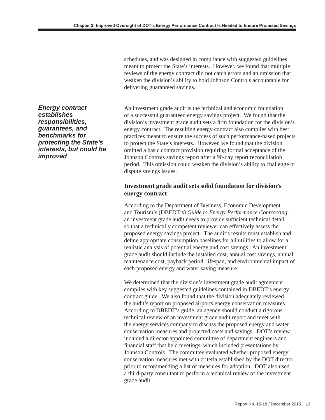schedules, and was designed in compliance with suggested guidelines meant to protect the State's interests. However, we found that multiple reviews of the energy contract did not catch errors and an omission that weaken the division's ability to hold Johnson Controls accountable for delivering guaranteed savings.

An investment grade audit is the technical and economic foundation of a successful guaranteed energy savings project. We found that the division's investment grade audit sets a firm foundation for the division's energy contract. The resulting energy contract also complies with best practices meant to ensure the success of such performance-based projects to protect the State's interests. However, we found that the division omitted a basic contract provision requiring formal acceptance of the Johnson Controls savings report after a 90-day report reconciliation period. This omission could weaken the division's ability to challenge or dispute savings issues.

#### **Investment grade audit sets solid foundation for division's energy contract**

According to the Department of Business, Economic Development and Tourism's (DBEDT's) *Guide to Energy Performance Contracting*, an investment grade audit needs to provide sufficient technical detail so that a technically competent reviewer can effectively assess the proposed energy savings project. The audit's results must establish and define appropriate consumption baselines for all utilities to allow for a realistic analysis of potential energy and cost savings. An investment grade audit should include the installed cost, annual cost savings, annual maintenance cost, payback period, lifespan, and environmental impact of each proposed energy and water saving measure.

We determined that the division's investment grade audit agreement complies with key suggested guidelines contained in DBEDT's energy contract guide. We also found that the division adequately reviewed the audit's report on proposed airports energy conservation measures. According to DBEDT's guide, an agency should conduct a rigorous technical review of an investment grade audit report and meet with the energy services company to discuss the proposed energy and water conservation measures and projected costs and savings. DOT's review included a director-appointed committee of department engineers and financial staff that held meetings, which included presentations by Johnson Controls. The committee evaluated whether proposed energy conservation measures met with criteria established by the DOT director prior to recommending a list of measures for adoption. DOT also used a third-party consultant to perform a technical review of the investment grade audit.

*Energy contract establishes responsibilities, guarantees, and benchmarks for protecting the State's interests, but could be improved*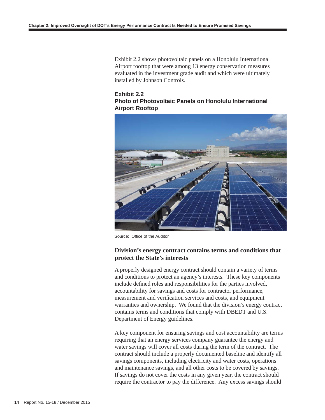Exhibit 2.2 shows photovoltaic panels on a Honolulu International Airport rooftop that were among 13 energy conservation measures evaluated in the investment grade audit and which were ultimately installed by Johnson Controls.

#### **Exhibit 2.2 Photo of Photovoltaic Panels on Honolulu International Airport Rooftop**



Source: Office of the Auditor

#### **Division's energy contract contains terms and conditions that protect the State's interests**

A properly designed energy contract should contain a variety of terms and conditions to protect an agency's interests. These key components include defined roles and responsibilities for the parties involved, accountability for savings and costs for contractor performance, measurement and verification services and costs, and equipment warranties and ownership. We found that the division's energy contract contains terms and conditions that comply with DBEDT and U.S. Department of Energy guidelines.

A key component for ensuring savings and cost accountability are terms requiring that an energy services company guarantee the energy and water savings will cover all costs during the term of the contract. The contract should include a properly documented baseline and identify all savings components, including electricity and water costs, operations and maintenance savings, and all other costs to be covered by savings. If savings do not cover the costs in any given year, the contract should require the contractor to pay the difference. Any excess savings should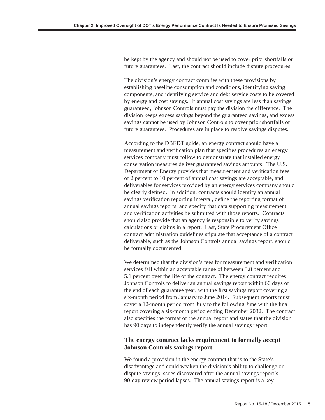<span id="page-21-0"></span>be kept by the agency and should not be used to cover prior shortfalls or future guarantees. Last, the contract should include dispute procedures.

The division's energy contract complies with these provisions by establishing baseline consumption and conditions, identifying saving components, and identifying service and debt service costs to be covered by energy and cost savings. If annual cost savings are less than savings guaranteed, Johnson Controls must pay the division the difference. The division keeps excess savings beyond the guaranteed savings, and excess savings cannot be used by Johnson Controls to cover prior shortfalls or future guarantees. Procedures are in place to resolve savings disputes.

According to the DBEDT guide, an energy contract should have a measurement and verification plan that specifies procedures an energy services company must follow to demonstrate that installed energy conservation measures deliver guaranteed savings amounts. The U.S. Department of Energy provides that measurement and verification fees of 2 percent to 10 percent of annual cost savings are acceptable, and deliverables for services provided by an energy services company should be clearly defined. In addition, contracts should identify an annual savings verification reporting interval, define the reporting format of annual savings reports, and specify that data supporting measurement and verification activities be submitted with those reports. Contracts should also provide that an agency is responsible to verify savings calculations or claims in a report. Last, State Procurement Office contract administration guidelines stipulate that acceptance of a contract deliverable, such as the Johnson Controls annual savings report, should be formally documented.

We determined that the division's fees for measurement and verification services fall within an acceptable range of between 3.8 percent and 5.1 percent over the life of the contract. The energy contract requires Johnson Controls to deliver an annual savings report within 60 days of the end of each guarantee year, with the first savings report covering a six-month period from January to June 2014. Subsequent reports must cover a 12-month period from July to the following June with the final report covering a six-month period ending December 2032. The contract also specifies the format of the annual report and states that the division has 90 days to independently verify the annual savings report.

#### **The energy contract lacks requirement to formally accept Johnson Controls savings report**

We found a provision in the energy contract that is to the State's disadvantage and could weaken the division's ability to challenge or dispute savings issues discovered after the annual savings report's 90-day review period lapses. The annual savings report is a key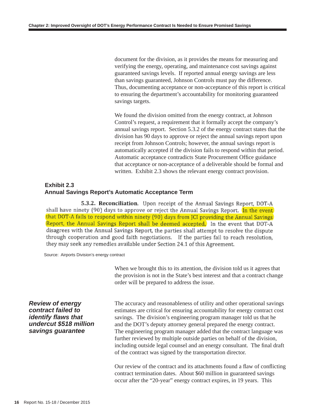document for the division, as it provides the means for measuring and verifying the energy, operating, and maintenance cost savings against guaranteed savings levels. If reported annual energy savings are less than savings guaranteed, Johnson Controls must pay the difference. Thus, documenting acceptance or non-acceptance of this report is critical to ensuring the department's accountability for monitoring guaranteed savings targets.

We found the division omitted from the energy contract, at Johnson Control's request, a requirement that it formally accept the company's annual savings report. Section 5.3.2 of the energy contract states that the division has 90 days to approve or reject the annual savings report upon receipt from Johnson Controls; however, the annual savings report is automatically accepted if the division fails to respond within that period. Automatic acceptance contradicts State Procurement Office guidance that acceptance or non-acceptance of a deliverable should be formal and written. Exhibit 2.3 shows the relevant energy contract provision.

#### **Exhibit 2.3 Annual Savings Report's Automatic Acceptance Term**

5.3.2. Reconciliation. Upon receipt of the Annual Savings Report, DOT-A shall have ninety (90) days to approve or reject the Annual Savings Report. In the event that DOT-A fails to respond within ninety (90) days from JCI providing the Annual Savings Report, the Annual Savings Report shall be deemed accepted. In the event that DOT-A disagrees with the Annual Savings Report, the parties shall attempt to resolve the dispute through cooperation and good faith negotiations. If the parties fail to reach resolution, they may seek any remedies available under Section 24.1 of this Agreement.

Source: Airports Division's energy contract

When we brought this to its attention, the division told us it agrees that the provision is not in the State's best interest and that a contract change order will be prepared to address the issue.

*Review of energy contract failed to identify fl aws that undercut \$518 million savings guarantee*

The accuracy and reasonableness of utility and other operational savings estimates are critical for ensuring accountability for energy contract cost savings. The division's engineering program manager told us that he and the DOT's deputy attorney general prepared the energy contract. The engineering program manager added that the contract language was further reviewed by multiple outside parties on behalf of the division, including outside legal counsel and an energy consultant. The final draft of the contract was signed by the transportation director.

Our review of the contract and its attachments found a flaw of conflicting contract termination dates. About \$60 million in guaranteed savings occur after the "20-year" energy contract expires, in 19 years. This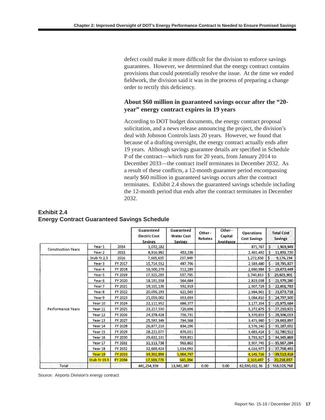defect could make it more difficult for the division to enforce savings guarantees. However, we determined that the energy contract contains provisions that could potentially resolve the issue. At the time we ended fieldwork, the division said it was in the process of preparing a change order to rectify this deficiency.

#### **About \$60 million in guaranteed savings occur after the "20 year" energy contract expires in 19 years**

According to DOT budget documents, the energy contract proposal solicitation, and a news release announcing the project, the division's deal with Johnson Controls lasts 20 years. However, we found that because of a drafting oversight, the energy contract actually ends after 19 years. Although savings guarantee details are specified in Schedule P of the contract—which runs for 20 years, from January 2014 to December 2033—the contract itself terminates in December 2032. As a result of these conflicts, a 12-month guarantee period encompassing nearly \$60 million in guaranteed savings occurs after the contract terminates. Exhibit 2.4 shows the guaranteed savings schedule including the 12-month period that ends after the contract terminates in December 2032.

|                           |              |         | Guaranteed<br>Electric Cost<br>Savings | Guaranteed<br><b>Water Cost</b><br><b>Savings</b> | Other-<br>Rebates | Other-<br>Capital<br>Avoidance | Operations<br><b>Cost Savings</b> | <b>Total Cost</b><br>Savings |
|---------------------------|--------------|---------|----------------------------------------|---------------------------------------------------|-------------------|--------------------------------|-----------------------------------|------------------------------|
| <b>Construction Years</b> | Year 1       | 2014    | 1,032,182                              |                                                   |                   |                                | 871,767                           | 1,903,949<br>s               |
|                           | Year 2       | 2015    | 8.916.992                              | 453,236                                           |                   |                                | 2,461,492                         | 11,831,720<br>s              |
| Performance Years         | Stub Yr 2.5  | 2016    | 7,665,635                              | 237,949                                           |                   |                                | 1,272,650 \$                      | 9,176,234                    |
|                           | Year 3       | FY 2017 | 15,714,552                             | 487,796                                           |                   |                                | 2,583,480                         | 18,785,827<br>s              |
|                           | Year 4       | FY 2018 | 16,500,279                             | 512,185                                           |                   |                                | 2,660,984                         | 19,673,449                   |
|                           | Year 5       | FY 2019 | 17,325,293                             | 537,795                                           |                   |                                | 2,740,813                         | 20,603,901<br>'S             |
|                           | Year 6       | FY 2020 | 18,191,558                             | 564,684                                           |                   |                                | 2,823,038                         | 21,579,280<br>s.             |
|                           | Year 7       | FY 2021 | 19,101,136                             | 592,919                                           |                   |                                | 2,907,729                         | 22,601,783<br>S.             |
|                           | Year 8       | FY 2022 | 20,056,193                             | 622,565                                           |                   |                                | 2,994,961                         | 23,673,718<br>S.             |
|                           | Year 9       | FY 2023 | 21,059,002                             | 653,693                                           |                   |                                | 3,084,810                         | 24,797,505<br>S.             |
|                           | Year 10      | FY 2024 | 22,111,952                             | 686,377                                           |                   |                                | 3,177,354                         | \$25,975,684                 |
|                           | Year 11      | FY 2025 | 23,217,550                             | 720,696                                           |                   |                                | 3,272,675                         | 27,210,921<br>S.             |
|                           | Year 12      | FY 2026 | 24,378,428                             | 756,731                                           |                   |                                | 3,370,855                         | 28,506,013<br>'S v           |
|                           | Year 13      | FY 2027 | 25,597,349                             | 794,568                                           |                   |                                | 3,471,980                         | S .<br>29,863,897            |
|                           | Year 14      | FY 2028 | 26,877,216                             | 834,296                                           |                   |                                | 3,576,140                         | 31,287,652<br>\$.            |
|                           | Year 15      | FY 2029 | 28,221,077                             | 876,011                                           |                   |                                | 3,683,424                         | 32,780,512<br>s.             |
|                           | Year 16      | FY 2030 | 29,632,131                             | 919,811                                           |                   |                                | 3,793,927                         | 34, 345, 869<br>s.           |
|                           | Year 17      | FY 2031 | 31,113,738                             | 965,802                                           |                   |                                | 3,907,745                         | \$3.35,987,284               |
|                           | Year 18      | FY 2032 | 32,669,424                             | 1,014,092                                         |                   |                                | 4,024,977                         | \$37,708,493                 |
|                           | Year 19      | FY 2033 | 34,302,896                             | 1,064,797                                         |                   |                                | 4,145,726                         | \$39,513,419                 |
|                           | Stub Yr 19.5 | FY 2034 | 17,569,776                             | 545,384                                           |                   |                                | 2, 103, 497                       | l s<br>20,218,657            |
| Total                     |              |         | 441.254.359                            | 13.841.387                                        | 0.00              | 0.00                           | 62.930.021.36                     | Iŝ.<br>518 025 768           |

#### **Exhibit 2.4 Energy Contract Guaranteed Savings Schedule**

Source: Airports Division's energy contract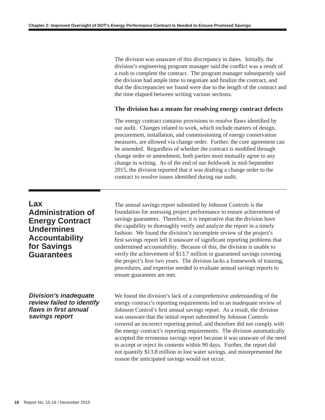<span id="page-24-0"></span>The division was unaware of this discrepancy in dates. Initially, the division's engineering program manager said the conflict was a result of a rush to complete the contract. The program manager subsequently said the division had ample time to negotiate and finalize the contract, and that the discrepancies we found were due to the length of the contract and the time elapsed between writing various sections.

#### **The division has a means for resolving energy contract defects**

The energy contract contains provisions to resolve flaws identified by our audit. Changes related to work, which include matters of design, procurement, installation, and commissioning of energy conservation measures, are allowed via change order. Further, the core agreement can be amended. Regardless of whether the contract is modified through change order or amendment, both parties must mutually agree to any change in writing. As of the end of our fieldwork in mid-September 2015, the division reported that it was drafting a change order to the contract to resolve issues identified during our audit.

## **Lax Administration of Energy Contract Undermines Accountability for Savings Guarantees**

*Division's inadequate review failed to identify fl aws in fi rst annual savings report*

The annual savings report submitted by Johnson Controls is the foundation for assessing project performance to ensure achievement of savings guarantees. Therefore, it is imperative that the division have the capability to thoroughly verify and analyze the report in a timely fashion. We found the division's incomplete review of the project's first savings report left it unaware of significant reporting problems that undermined accountability. Because of this, the division is unable to verify the achievement of \$13.7 million in guaranteed savings covering the project's first two years. The division lacks a framework of training, procedures, and expertise needed to evaluate annual savings reports to ensure guarantees are met.

We found the division's lack of a comprehensive understanding of the energy contract's reporting requirements led to an inadequate review of Johnson Control's first annual savings report. As a result, the division was unaware that the initial report submitted by Johnson Controls covered an incorrect reporting period, and therefore did not comply with the energy contract's reporting requirements. The division automatically accepted the erroneous savings report because it was unaware of the need to accept or reject its contents within 90 days. Further, the report did not quantify \$13.8 million in lost water savings, and misrepresented the reason the anticipated savings would not occur.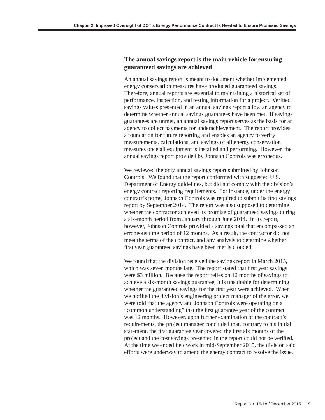#### **The annual savings report is the main vehicle for ensuring guaranteed savings are achieved**

An annual savings report is meant to document whether implemented energy conservation measures have produced guaranteed savings. Therefore, annual reports are essential to maintaining a historical set of performance, inspection, and testing information for a project. Verified savings values presented in an annual savings report allow an agency to determine whether annual savings guarantees have been met. If savings guarantees are unmet, an annual savings report serves as the basis for an agency to collect payments for underachievement. The report provides a foundation for future reporting and enables an agency to verify measurements, calculations, and savings of all energy conservation measures once all equipment is installed and performing. However, the annual savings report provided by Johnson Controls was erroneous.

We reviewed the only annual savings report submitted by Johnson Controls. We found that the report conformed with suggested U.S. Department of Energy guidelines, but did not comply with the division's energy contract reporting requirements. For instance, under the energy contract's terms, Johnson Controls was required to submit its first savings report by September 2014. The report was also supposed to determine whether the contractor achieved its promise of guaranteed savings during a six-month period from January through June 2014. In its report, however, Johnson Controls provided a savings total that encompassed an erroneous time period of 12 months. As a result, the contractor did not meet the terms of the contract, and any analysis to determine whether first year guaranteed savings have been met is clouded.

We found that the division received the savings report in March 2015, which was seven months late. The report stated that first year savings were \$3 million. Because the report relies on 12 months of savings to achieve a six-month savings guarantee, it is unsuitable for determining whether the guaranteed savings for the first year were achieved. When we notified the division's engineering project manager of the error, we were told that the agency and Johnson Controls were operating on a "common understanding" that the first guarantee year of the contract was 12 months. However, upon further examination of the contract's requirements, the project manager concluded that, contrary to his initial statement, the first guarantee year covered the first six months of the project and the cost savings presented in the report could not be verified. At the time we ended fieldwork in mid-September 2015, the division said efforts were underway to amend the energy contract to resolve the issue.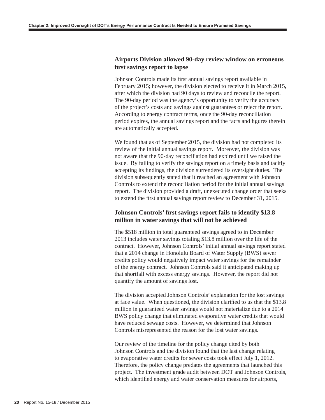#### **Airports Division allowed 90-day review window on erroneous fi rst savings report to lapse**

Johnson Controls made its first annual savings report available in February 2015; however, the division elected to receive it in March 2015, after which the division had 90 days to review and reconcile the report. The 90-day period was the agency's opportunity to verify the accuracy of the project's costs and savings against guarantees or reject the report. According to energy contract terms, once the 90-day reconciliation period expires, the annual savings report and the facts and figures therein are automatically accepted.

We found that as of September 2015, the division had not completed its review of the initial annual savings report. Moreover, the division was not aware that the 90-day reconciliation had expired until we raised the issue. By failing to verify the savings report on a timely basis and tacitly accepting its findings, the division surrendered its oversight duties. The division subsequently stated that it reached an agreement with Johnson Controls to extend the reconciliation period for the initial annual savings report. The division provided a draft, unexecuted change order that seeks to extend the first annual savings report review to December 31, 2015.

#### **Johnson Controls' fi rst savings report fails to identify \$13.8 million in water savings that will not be achieved**

The \$518 million in total guaranteed savings agreed to in December 2013 includes water savings totaling \$13.8 million over the life of the contract. However, Johnson Controls' initial annual savings report stated that a 2014 change in Honolulu Board of Water Supply (BWS) sewer credits policy would negatively impact water savings for the remainder of the energy contract. Johnson Controls said it anticipated making up that shortfall with excess energy savings. However, the report did not quantify the amount of savings lost.

The division accepted Johnson Controls' explanation for the lost savings at face value. When questioned, the division clarified to us that the \$13.8 million in guaranteed water savings would not materialize due to a 2014 BWS policy change that eliminated evaporative water credits that would have reduced sewage costs. However, we determined that Johnson Controls misrepresented the reason for the lost water savings.

Our review of the timeline for the policy change cited by both Johnson Controls and the division found that the last change relating to evaporative water credits for sewer costs took effect July 1, 2012. Therefore, the policy change predates the agreements that launched this project. The investment grade audit between DOT and Johnson Controls, which identified energy and water conservation measures for airports,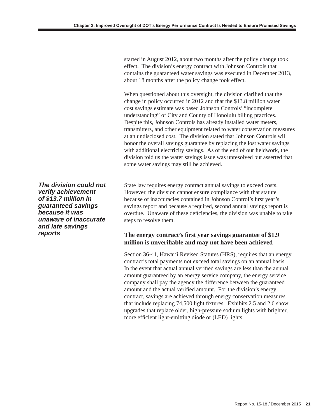<span id="page-27-0"></span>started in August 2012, about two months after the policy change took effect. The division's energy contract with Johnson Controls that contains the guaranteed water savings was executed in December 2013, about 18 months after the policy change took effect.

When questioned about this oversight, the division clarified that the change in policy occurred in 2012 and that the \$13.8 million water cost savings estimate was based Johnson Controls' "incomplete understanding" of City and County of Honolulu billing practices. Despite this, Johnson Controls has already installed water meters, transmitters, and other equipment related to water conservation measures at an undisclosed cost. The division stated that Johnson Controls will honor the overall savings guarantee by replacing the lost water savings with additional electricity savings. As of the end of our fieldwork, the division told us the water savings issue was unresolved but asserted that some water savings may still be achieved.

State law requires energy contract annual savings to exceed costs. However, the division cannot ensure compliance with that statute because of inaccuracies contained in Johnson Control's first year's savings report and because a required, second annual savings report is overdue. Unaware of these deficiencies, the division was unable to take steps to resolve them.

#### The energy contract's first year savings guarantee of \$1.9 **million is unverifi able and may not have been achieved**

Section 36-41, Hawai'i Revised Statutes (HRS), requires that an energy contract's total payments not exceed total savings on an annual basis. In the event that actual annual verified savings are less than the annual amount guaranteed by an energy service company, the energy service company shall pay the agency the difference between the guaranteed amount and the actual verified amount. For the division's energy contract, savings are achieved through energy conservation measures that include replacing  $74,500$  light fixtures. Exhibits 2.5 and 2.6 show upgrades that replace older, high-pressure sodium lights with brighter, more efficient light-emitting diode or (LED) lights.

*The division could not verify achievement of \$13.7 million in guaranteed savings because it was unaware of inaccurate and late savings reports*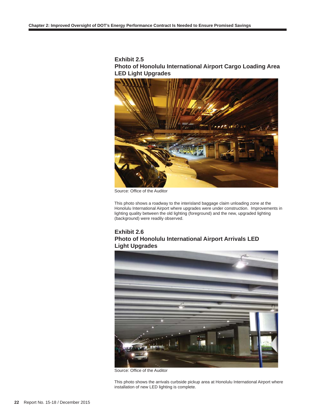**Exhibit 2.5 Photo of Honolulu International Airport Cargo Loading Area LED Light Upgrades**



Source: Office of the Auditor

 This photo shows a roadway to the interisland baggage claim unloading zone at the Honolulu International Airport where upgrades were under construction. Improvements in lighting quality between the old lighting (foreground) and the new, upgraded lighting (background) were readily observed.

#### **Exhibit 2.6 Photo of Honolulu International Airport Arrivals LED Light Upgrades**



Source: Office of the Auditor

 This photo shows the arrivals curbside pickup area at Honolulu International Airport where installation of new LED lighting is complete.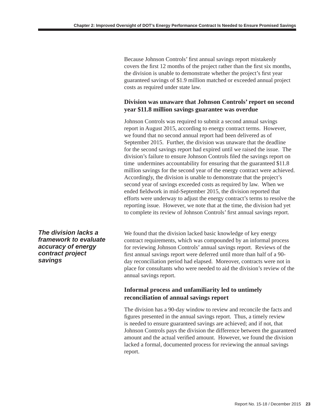Because Johnson Controls' first annual savings report mistakenly covers the first 12 months of the project rather than the first six months, the division is unable to demonstrate whether the project's first year guaranteed savings of \$1.9 million matched or exceeded annual project costs as required under state law.

#### **Division was unaware that Johnson Controls' report on second year \$11.8 million savings guarantee was overdue**

Johnson Controls was required to submit a second annual savings report in August 2015, according to energy contract terms. However, we found that no second annual report had been delivered as of September 2015. Further, the division was unaware that the deadline for the second savings report had expired until we raised the issue. The division's failure to ensure Johnson Controls filed the savings report on time undermines accountability for ensuring that the guaranteed \$11.8 million savings for the second year of the energy contract were achieved. Accordingly, the division is unable to demonstrate that the project's second year of savings exceeded costs as required by law. When we ended fieldwork in mid-September 2015, the division reported that efforts were underway to adjust the energy contract's terms to resolve the reporting issue. However, we note that at the time, the division had yet to complete its review of Johnson Controls' first annual savings report.

*The division lacks a framework to evaluate accuracy of energy contract project savings*

We found that the division lacked basic knowledge of key energy contract requirements, which was compounded by an informal process for reviewing Johnson Controls' annual savings report. Reviews of the first annual savings report were deferred until more than half of a 90day reconciliation period had elapsed. Moreover, contracts were not in place for consultants who were needed to aid the division's review of the annual savings report.

#### **Informal process and unfamiliarity led to untimely reconciliation of annual savings report**

The division has a 90-day window to review and reconcile the facts and figures presented in the annual savings report. Thus, a timely review is needed to ensure guaranteed savings are achieved; and if not, that Johnson Controls pays the division the difference between the guaranteed amount and the actual verified amount. However, we found the division lacked a formal, documented process for reviewing the annual savings report.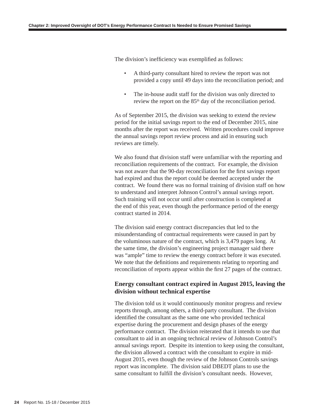The division's inefficiency was exemplified as follows:

- A third-party consultant hired to review the report was not provided a copy until 49 days into the reconciliation period; and
- The in-house audit staff for the division was only directed to review the report on the 85<sup>th</sup> day of the reconciliation period.

As of September 2015, the division was seeking to extend the review period for the initial savings report to the end of December 2015, nine months after the report was received. Written procedures could improve the annual savings report review process and aid in ensuring such reviews are timely.

We also found that division staff were unfamiliar with the reporting and reconciliation requirements of the contract. For example, the division was not aware that the 90-day reconciliation for the first savings report had expired and thus the report could be deemed accepted under the contract. We found there was no formal training of division staff on how to understand and interpret Johnson Control's annual savings report. Such training will not occur until after construction is completed at the end of this year, even though the performance period of the energy contract started in 2014.

The division said energy contract discrepancies that led to the misunderstanding of contractual requirements were caused in part by the voluminous nature of the contract, which is 3,479 pages long. At the same time, the division's engineering project manager said there was "ample" time to review the energy contract before it was executed. We note that the definitions and requirements relating to reporting and reconciliation of reports appear within the first 27 pages of the contract.

#### **Energy consultant contract expired in August 2015, leaving the division without technical expertise**

The division told us it would continuously monitor progress and review reports through, among others, a third-party consultant. The division identified the consultant as the same one who provided technical expertise during the procurement and design phases of the energy performance contract. The division reiterated that it intends to use that consultant to aid in an ongoing technical review of Johnson Control's annual savings report. Despite its intention to keep using the consultant, the division allowed a contract with the consultant to expire in mid-August 2015, even though the review of the Johnson Controls savings report was incomplete. The division said DBEDT plans to use the same consultant to fulfill the division's consultant needs. However,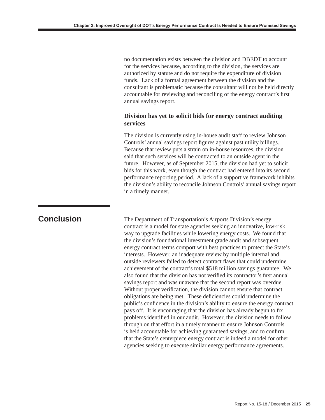no documentation exists between the division and DBEDT to account for the services because, according to the division, the services are authorized by statute and do not require the expenditure of division funds. Lack of a formal agreement between the division and the consultant is problematic because the consultant will not be held directly accountable for reviewing and reconciling of the energy contract's first annual savings report.

#### **Division has yet to solicit bids for energy contract auditing services**

The division is currently using in-house audit staff to review Johnson Controls' annual savings report figures against past utility billings. Because that review puts a strain on in-house resources, the division said that such services will be contracted to an outside agent in the future. However, as of September 2015, the division had yet to solicit bids for this work, even though the contract had entered into its second performance reporting period. A lack of a supportive framework inhibits the division's ability to reconcile Johnson Controls' annual savings report in a timely manner.

## **Conclusion**

The Department of Transportation's Airports Division's energy contract is a model for state agencies seeking an innovative, low-risk way to upgrade facilities while lowering energy costs. We found that the division's foundational investment grade audit and subsequent energy contract terms comport with best practices to protect the State's interests. However, an inadequate review by multiple internal and outside reviewers failed to detect contract flaws that could undermine achievement of the contract's total \$518 million savings guarantee. We also found that the division has not verified its contractor's first annual savings report and was unaware that the second report was overdue. Without proper verification, the division cannot ensure that contract obligations are being met. These deficiencies could undermine the public's confidence in the division's ability to ensure the energy contract pays off. It is encouraging that the division has already begun to fix problems identified in our audit. However, the division needs to follow through on that effort in a timely manner to ensure Johnson Controls is held accountable for achieving guaranteed savings, and to confirm that the State's centerpiece energy contract is indeed a model for other agencies seeking to execute similar energy performance agreements.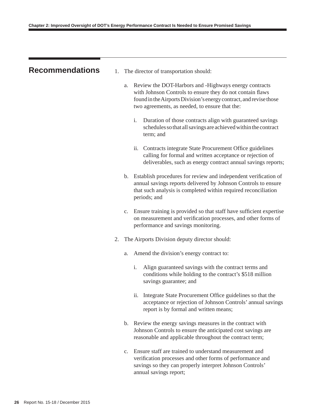## <span id="page-32-0"></span>**Recommendations**

- 1. The director of transportation should:
	- a. Review the DOT-Harbors and -Highways energy contracts with Johnson Controls to ensure they do not contain flaws found in the Airports Division's energy contract, and revise those two agreements, as needed, to ensure that the:
		- i. Duration of those contracts align with guaranteed savings schedules so that all savings are achieved within the contract term; and
		- ii. Contracts integrate State Procurement Office guidelines calling for formal and written acceptance or rejection of deliverables, such as energy contract annual savings reports;
	- b. Establish procedures for review and independent verification of annual savings reports delivered by Johnson Controls to ensure that such analysis is completed within required reconciliation periods; and
	- c. Ensure training is provided so that staff have sufficient expertise on measurement and verification processes, and other forms of performance and savings monitoring.
- 2. The Airports Division deputy director should:
	- a. Amend the division's energy contract to:
		- i. Align guaranteed savings with the contract terms and conditions while holding to the contract's \$518 million savings guarantee; and
		- ii. Integrate State Procurement Office guidelines so that the acceptance or rejection of Johnson Controls' annual savings report is by formal and written means;
	- b. Review the energy savings measures in the contract with Johnson Controls to ensure the anticipated cost savings are reasonable and applicable throughout the contract term;
	- c. Ensure staff are trained to understand measurement and verification processes and other forms of performance and savings so they can properly interpret Johnson Controls' annual savings report;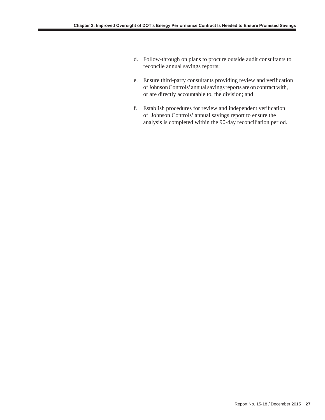- d. Follow-through on plans to procure outside audit consultants to reconcile annual savings reports;
- e. Ensure third-party consultants providing review and verification of Johnson Controls' annual savings reports are on contract with, or are directly accountable to, the division; and
- f. Establish procedures for review and independent verification of Johnson Controls' annual savings report to ensure the analysis is completed within the 90-day reconciliation period.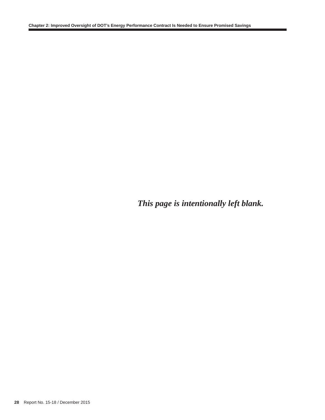*This page is intentionally left blank.*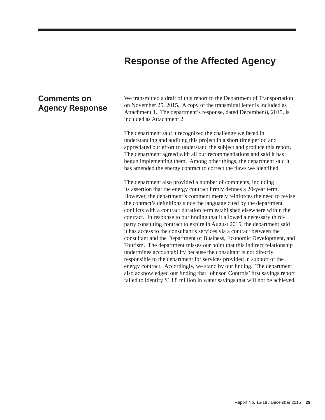# **Response of the Affected Agency**

# <span id="page-35-0"></span>**Comments on Agency Response**

 We transmitted a draft of this report to the Department of Transportation on November 25, 2015. A copy of the transmittal letter is included as Attachment 1. The department's response, dated December 8, 2015, is included as Attachment 2.

The department said it recognized the challenge we faced in understanding and auditing this project in a short time period and appreciated our effort to understand the subject and produce this report. The department agreed with all our recommendations and said it has begun implementing them. Among other things, the department said it has amended the energy contract to correct the flaws we identified.

The department also provided a number of comments, including its assertion that the energy contract firmly defines a 20-year term. However, the department's comment merely reinforces the need to revise the contract's definitions since the language cited by the department conflicts with a contract duration term established elsewhere within the contract. In response to our finding that it allowed a necessary thirdparty consulting contract to expire in August 2015, the department said it has access to the consultant's services via a contract between the consultant and the Department of Business, Economic Development, and Tourism. The department misses our point that this indirect relationship undermines accountability because the consultant is not directly responsible to the department for services provided in support of the energy contract. Accordingly, we stand by our finding. The department also acknowledged our finding that Johnson Controls' first savings report failed to identify \$13.8 million in water savings that will not be achieved.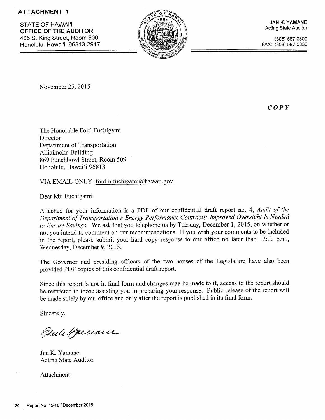ATTACHMENT 1

**STATE OF HAWAI'I** OFFICE OF THE AUDITOR 465 S. King Street, Room 500 Honolulu, Hawai'i 96813-2917



(808) 587-0800 FAX: (808) 587-0830

November 25, 2015

 $\overline{COPY}$ 

The Honorable Ford Fuchigami Director Department of Transportation Aliiaimoku Building 869 Punchbowl Street, Room 509 Honolulu, Hawai'i 96813

VIA EMAIL ONLY: ford.n.fuchigami@hawaii.gov

Dear Mr. Fuchigami:

Attached for your information is a PDF of our confidential draft report no. 4, Audit of the Department of Transportation's Energy Performance Contracts: Improved Oversight Is Needed to Ensure Savings. We ask that you telephone us by Tuesday, December 1, 2015, on whether or not you intend to comment on our recommendations. If you wish your comments to be included in the report, please submit your hard copy response to our office no later than 12:00 p.m., Wednesday, December 9, 2015.

The Governor and presiding officers of the two houses of the Legislature have also been provided PDF copies of this confidential draft report.

Since this report is not in final form and changes may be made to it, access to the report should be restricted to those assisting you in preparing your response. Public release of the report will be made solely by our office and only after the report is published in its final form.

Sincerely,

Quele quecause

Jan K. Yamane Acting State Auditor

Attachment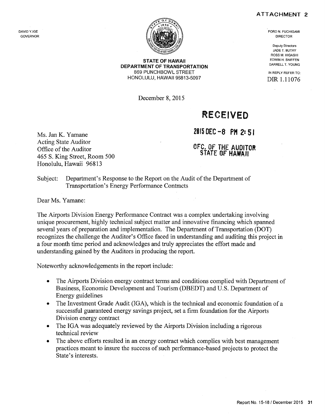#### **ATTACHMENT 2**

DAVID Y IGE **GOVERNOR** 



**STATE OF HAWAII** DEPARTMENT OF TRANSPORTATION 869 PUNCHBOWL STREET HONOLULU, HAWAII 96813-5097

December 8, 2015

**FORD N. ELICHIGAMI DIRECTOR** 

Deputy Directors JADE T. BUTAY ROSS M. HIGASHI EDWIN H. SNIFFEN DARRELL T. YOUNG

IN REPLY REFER TO: DIR 1.11076

# **RECEIVED**

2015 DEC -8 PM 2:51

OFC. OF THE AUDITOR STATE OF HAWAII

Ms. Jan K. Yamane **Acting State Auditor** Office of the Auditor 465 S. King Street, Room 500 Honolulu, Hawaii 96813

Department's Response to the Report on the Audit of the Department of Subject: **Transportation's Energy Performance Contracts** 

Dear Ms. Yamane:

The Airports Division Energy Performance Contract was a complex undertaking involving unique procurement, highly technical subject matter and innovative financing which spanned several years of preparation and implementation. The Department of Transportation (DOT) recognizes the challenge the Auditor's Office faced in understanding and auditing this project in a four month time period and acknowledges and truly appreciates the effort made and understanding gained by the Auditors in producing the report.

Noteworthy acknowledgements in the report include:

- The Airports Division energy contract terms and conditions complied with Department of  $\bullet$ Business, Economic Development and Tourism (DBEDT) and U.S. Department of Energy guidelines
- The Investment Grade Audit (IGA), which is the technical and economic foundation of a  $\bullet$ successful guaranteed energy savings project, set a firm foundation for the Airports Division energy contract
- $\bullet$ The IGA was adequately reviewed by the Airports Division including a rigorous technical review
- The above efforts resulted in an energy contract which complies with best management  $\bullet$ practices meant to insure the success of such performance-based projects to protect the State's interests.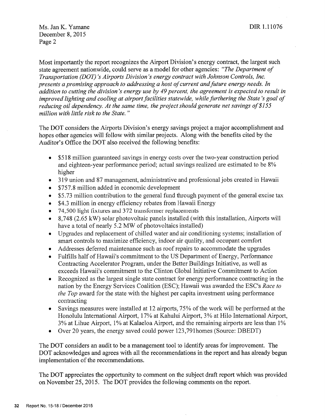Most importantly the report recognizes the Airport Division's energy contract, the largest such state agreement nationwide, could serve as a model for other agencies: "The Department of Transportation (DOT)'s Airports Division's energy contract with Johnson Controls, Inc. presents a promising approach to addressing a host of current and future energy needs. In addition to cutting the division's energy use by 49 percent, the agreement is expected to result in improved lighting and cooling at airport facilities statewide, while furthering the State's goal of reducing oil dependency. At the same time, the project should generate net savings of \$155 million with little risk to the State."

The DOT considers the Airports Division's energy savings project a major accomplishment and hopes other agencies will follow with similar projects. Along with the benefits cited by the Auditor's Office the DOT also received the following benefits:

- \$518 million guaranteed savings in energy costs over the two-year construction period and eighteen-year performance period; actual savings realized are estimated to be 8% higher
- 319 union and 87 management, administrative and professional jobs created in Hawaii  $\bullet$
- \$757.8 million added in economic development  $\bullet$
- \$5.73 million contribution to the general fund through payment of the general excise tax
- \$4.3 million in energy efficiency rebates from Hawaii Energy  $\bullet$
- 74,500 light fixtures and 372 transformer replacements
- 8,748 (2.65 kW) solar photovoltaic panels installed (with this installation, Airports will have a total of nearly 5.2 MW of photovoltaics installed)
- Upgrades and replacement of chilled water and air conditioning systems; installation of  $\bullet$ smart controls to maximize efficiency, indoor air quality, and occupant comfort
- Addresses deferred maintenance such as roof repairs to accommodate the upgrades  $\bullet$
- Fulfills half of Hawaii's commitment to the US Department of Energy, Performance Contracting Accelerator Program, under the Better Buildings Initiative, as well as exceeds Hawaii's commitment to the Clinton Global Initiative Commitment to Action
- Recognized as the largest single state contract for energy performance contracting in the nation by the Energy Services Coalition (ESC); Hawaii was awarded the ESC's Race to the Top award for the state with the highest per capita investment using performance contracting
- Savings measures were installed at 12 airports, 75% of the work will be performed at the Honolulu International Airport, 17% at Kahului Airport, 3% at Hilo International Airport, 3% at Lihue Airport, 1% at Kalaeloa Airport, and the remaining airports are less than 1%
- Over 20 years, the energy saved could power 123,791 homes (Source: DBEDT)

The DOT considers an audit to be a management tool to identify areas for improvement. The DOT acknowledges and agrees with all the recommendations in the report and has already begun implementation of the recommendations.

The DOT appreciates the opportunity to comment on the subject draft report which was provided on November 25, 2015. The DOT provides the following comments on the report.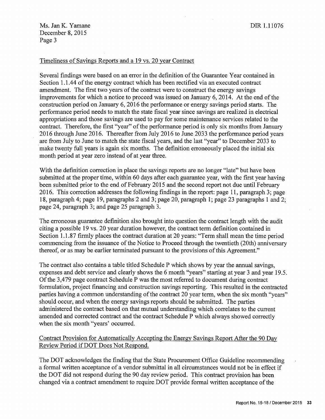#### Timeliness of Savings Reports and a 19 vs. 20 year Contract

Several findings were based on an error in the definition of the Guarantee Year contained in Section 1.1.44 of the energy contract which has been rectified via an executed contract amendment. The first two years of the contract were to construct the energy savings improvements for which a notice to proceed was issued on January 6, 2014. At the end of the construction period on January 6, 2016 the performance or energy savings period starts. The performance period needs to match the state fiscal year since savings are realized in electrical appropriations and those savings are used to pay for some maintenance services related to the contract. Therefore, the first "year" of the performance period is only six months from January 2016 through June 2016. Thereafter from July 2016 to June 2033 the performance period years are from July to June to match the state fiscal years, and the last "year" to December 2033 to make twenty full years is again six months. The definition erroneously placed the initial six month period at year zero instead of at year three.

With the definition correction in place the savings reports are no longer "late" but have been submitted at the proper time, within 60 days after each guarantee year, with the first year having been submitted prior to the end of February 2015 and the second report not due until February 2016. This correction addresses the following findings in the report: page 11, paragraph 3; page 18, paragraph 4; page 19, paragraphs 2 and 3; page 20, paragraph 1; page 23 paragraphs 1 and 2; page 24, paragraph 3; and page 25 paragraph 3.

The erroneous guarantee definition also brought into question the contract length with the audit citing a possible 19 vs. 20 year duration however, the contract term definition contained in Section 1.1.87 firmly places the contract duration at 20 years: "Term shall mean the time period commencing from the issuance of the Notice to Proceed through the twentieth (20th) anniversary thereof, or as may be earlier terminated pursuant to the provisions of this Agreement."

The contract also contains a table titled Schedule P which shows by year the annual savings, expenses and debt service and clearly shows the 6 month "years" starting at year 3 and year 19.5. Of the 3,479 page contract Schedule P was the most referred to document during contract formulation, project financing and construction savings reporting. This resulted in the contracted parties having a common understanding of the contract 20 year term, when the six month "years" should occur, and when the energy savings reports should be submitted. The parties administered the contract based on that mutual understanding which correlates to the current amended and corrected contract and the contract Schedule P which always showed correctly when the six month "years' occurred.

#### Contract Provision for Automatically Accepting the Energy Savings Report After the 90 Day Review Period if DOT Does Not Respond.

The DOT acknowledges the finding that the State Procurement Office Guideline recommending a formal written acceptance of a vendor submittal in all circumstances would not be in effect if the DOT did not respond during the 90 day review period. This contract provision has been changed via a contract amendment to require DOT provide formal written acceptance of the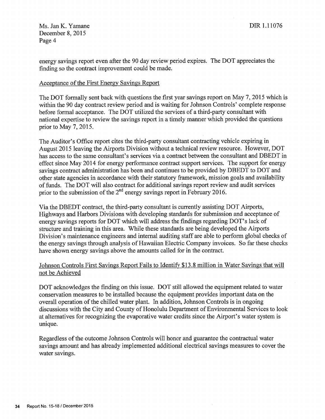energy savings report even after the 90 day review period expires. The DOT appreciates the finding so the contract improvement could be made.

#### Acceptance of the First Energy Savings Report

The DOT formally sent back with questions the first year savings report on May 7, 2015 which is within the 90 day contract review period and is waiting for Johnson Controls' complete response before formal acceptance. The DOT utilized the services of a third-party consultant with national expertise to review the savings report in a timely manner which provided the questions prior to May 7, 2015.

The Auditor's Office report cites the third-party consultant contracting vehicle expiring in August 2015 leaving the Airports Division without a technical review resource. However, DOT has access to the same consultant's services via a contract between the consultant and DBEDT in effect since May 2014 for energy performance contract support services. The support for energy savings contract administration has been and continues to be provided by DBEDT to DOT and other state agencies in accordance with their statutory framework, mission goals and availability of funds. The DOT will also contract for additional savings report review and audit services prior to the submission of the  $2<sup>nd</sup>$  energy savings report in February 2016.

Via the DBEDT contract, the third-party consultant is currently assisting DOT Airports, Highways and Harbors Divisions with developing standards for submission and acceptance of energy savings reports for DOT which will address the findings regarding DOT's lack of structure and training in this area. While these standards are being developed the Airports Division's maintenance engineers and internal auditing staff are able to perform global checks of the energy savings through analysis of Hawaiian Electric Company invoices. So far these checks have shown energy savings above the amounts called for in the contract.

#### Johnson Controls First Savings Report Fails to Identify \$13.8 million in Water Savings that will not be Achieved

DOT acknowledges the finding on this issue. DOT still allowed the equipment related to water conservation measures to be installed because the equipment provides important data on the overall operation of the chilled water plant. In addition, Johnson Controls is in ongoing discussions with the City and County of Honolulu Department of Environmental Services to look at alternatives for recognizing the evaporative water credits since the Airport's water system is unique.

Regardless of the outcome Johnson Controls will honor and guarantee the contractual water savings amount and has already implemented additional electrical savings measures to cover the water savings.